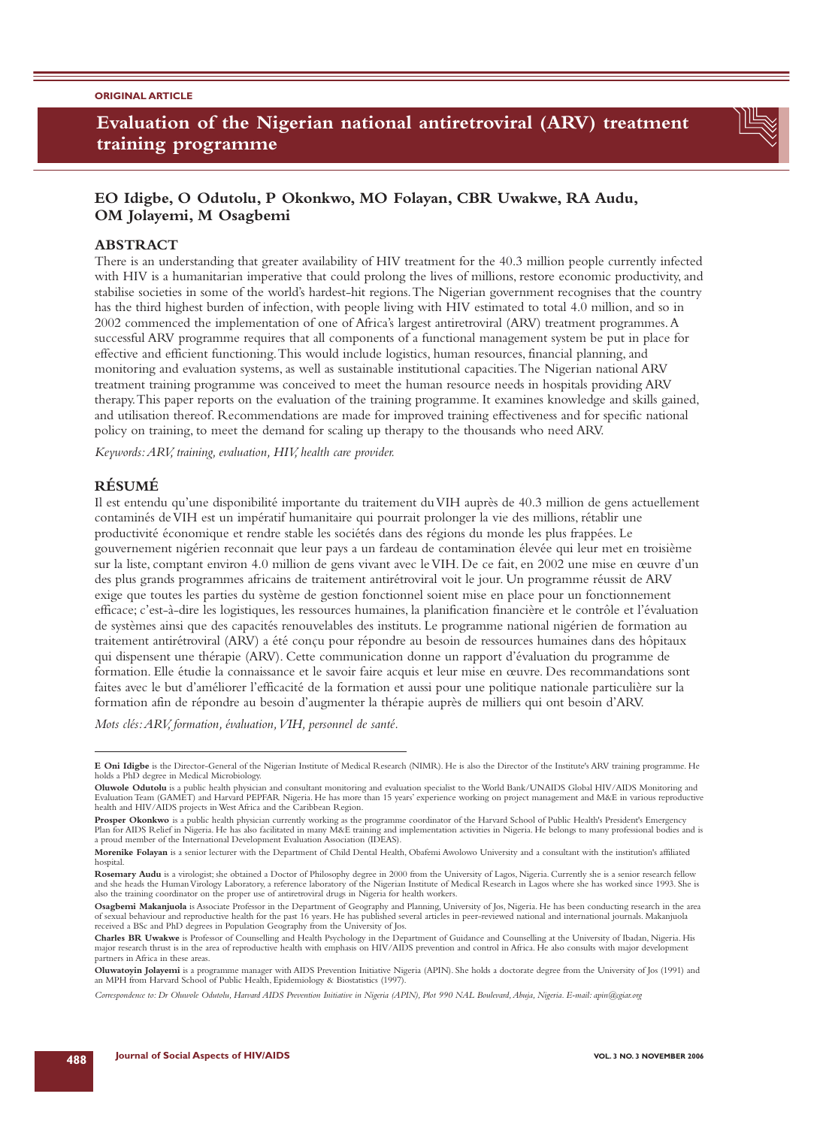# **Evaluation of the Nigerian national antiretroviral (ARV) treatment training programme**



# **EO Idigbe, O Odutolu, P Okonkwo, MO Folayan, CBR Uwakwe, RA Audu, OM Jolayemi, M Osagbemi**

## **ABSTRACT**

There is an understanding that greater availability of HIV treatment for the 40.3 million people currently infected with HIV is a humanitarian imperative that could prolong the lives of millions, restore economic productivity, and stabilise societies in some of the world's hardest-hit regions.The Nigerian government recognises that the country has the third highest burden of infection, with people living with HIV estimated to total 4.0 million, and so in 2002 commenced the implementation of one of Africa's largest antiretroviral (ARV) treatment programmes.A successful ARV programme requires that all components of a functional management system be put in place for effective and efficient functioning.This would include logistics, human resources, financial planning, and monitoring and evaluation systems, as well as sustainable institutional capacities.The Nigerian national ARV treatment training programme was conceived to meet the human resource needs in hospitals providing ARV therapy.This paper reports on the evaluation of the training programme. It examines knowledge and skills gained, and utilisation thereof. Recommendations are made for improved training effectiveness and for specific national policy on training, to meet the demand for scaling up therapy to the thousands who need ARV.

*Keywords:ARV, training, evaluation, HIV, health care provider.*

## **RÉSUMÉ**

Il est entendu qu'une disponibilité importante du traitement du VIH auprès de 40.3 million de gens actuellement contaminés de VIH est un impératif humanitaire qui pourrait prolonger la vie des millions, rétablir une productivité économique et rendre stable les sociétés dans des régions du monde les plus frappées. Le gouvernement nigérien reconnait que leur pays a un fardeau de contamination élevée qui leur met en troisième sur la liste, comptant environ 4.0 million de gens vivant avec le VIH. De ce fait, en 2002 une mise en œuvre d'un des plus grands programmes africains de traitement antirétroviral voit le jour. Un programme réussit de ARV exige que toutes les parties du système de gestion fonctionnel soient mise en place pour un fonctionnement efficace; c'est-à-dire les logistiques, les ressources humaines, la planification financière et le contrôle et l'évaluation de systèmes ainsi que des capacités renouvelables des instituts. Le programme national nigérien de formation au traitement antirétroviral (ARV) a été conçu pour répondre au besoin de ressources humaines dans des hôpitaux qui dispensent une thérapie (ARV). Cette communication donne un rapport d'évaluation du programme de formation. Elle étudie la connaissance et le savoir faire acquis et leur mise en œuvre. Des recommandations sont faites avec le but d'améliorer l'efficacité de la formation et aussi pour une politique nationale particulière sur la formation afin de répondre au besoin d'augmenter la thérapie auprès de milliers qui ont besoin d'ARV.

*Mots clés:ARV, formation, évaluation,VIH, personnel de santé.*

**E Oni Idigbe** is the Director-General of the Nigerian Institute of Medical Research (NIMR). He is also the Director of the Institute's ARV training programme. He holds a PhD degree in Medical Microbiology.

**Oluwole Odutolu** is a public health physician and consultant monitoring and evaluation specialist to the World Bank/UNAIDS Global HIV/AIDS Monitoring and Evaluation Team (GAMET) and Harvard PEPFAR Nigeria. He has more than 15 years' experience working on project management and M&E in various reproductive health and HIV/AIDS projects in West Africa and the Caribbean Region.

Prosper Okonkwo is a public health physician currently working as the programme coordinator of the Harvard School of Public Health's President's Emergency Plan for AIDS Relief in Nigeria. He has also facilitated in many M&E training and implementation activities in Nigeria. He belongs to many professional bodies and is a proud member of the International Development Evaluation Association (IDEAS).

**Morenike Folayan** is a senior lecturer with the Department of Child Dental Health, Obafemi Awolowo University and a consultant with the institution's affiliated hospital.

**Rosemary Audu** is a virologist; she obtained a Doctor of Philosophy degree in 2000 from the University of Lagos, Nigeria. Currently she is a senior research fellow and she heads the Human Virology Laboratory, a reference laboratory of the Nigerian Institute of Medical Research in Lagos where she has worked since 1993. She is also the training coordinator on the proper use of antiretroviral drugs in Nigeria for health workers.

**Osagbemi Makanjuola** is Associate Professor in the Department of Geography and Planning, University of Jos, Nigeria. He has been conducting research in the area of sexual behaviour and reproductive health for the past 16 years. He has published several articles in peer-reviewed national and international journals. Makanjuola received a BSc and PhD degrees in Population Geography from the University of Jos.

**Charles BR Uwakwe** is Professor of Counselling and Health Psychology in the Department of Guidance and Counselling at the University of Ibadan, Nigeria. His major research thrust is in the area of reproductive health with emphasis on HIV/AIDS prevention and control in Africa. He also consults with major development partners in Africa in these areas.

**Oluwatoyin Jolayemi** is a programme manager with AIDS Prevention Initiative Nigeria (APIN). She holds a doctorate degree from the University of Jos (1991) and an MPH from Harvard School of Public Health, Epidemiology & Biostatistics (1997).

*Correspondence to: Dr Oluwole Odutolu, Harvard AIDS Prevention Initiative in Nigeria (APIN), Plot 990 NAL Boulevard,Abuja, Nigeria. E-mail: apin@cgiar.org*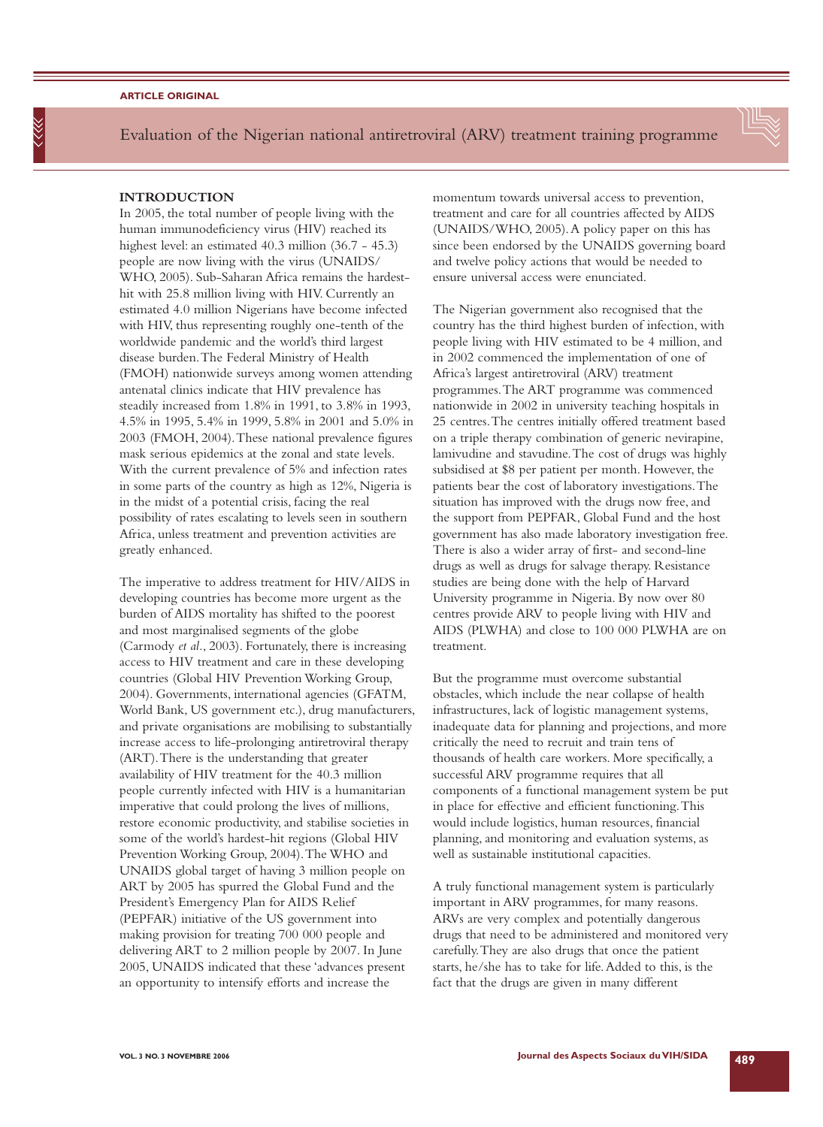

## **INTRODUCTION**

In 2005, the total number of people living with the human immunodeficiency virus (HIV) reached its highest level: an estimated 40.3 million (36.7 - 45.3) people are now living with the virus (UNAIDS/ WHO, 2005). Sub-Saharan Africa remains the hardesthit with 25.8 million living with HIV. Currently an estimated 4.0 million Nigerians have become infected with HIV, thus representing roughly one-tenth of the worldwide pandemic and the world's third largest disease burden.The Federal Ministry of Health (FMOH) nationwide surveys among women attending antenatal clinics indicate that HIV prevalence has steadily increased from 1.8% in 1991, to 3.8% in 1993, 4.5% in 1995, 5.4% in 1999, 5.8% in 2001 and 5.0% in 2003 (FMOH, 2004).These national prevalence figures mask serious epidemics at the zonal and state levels. With the current prevalence of 5% and infection rates in some parts of the country as high as 12%, Nigeria is in the midst of a potential crisis, facing the real possibility of rates escalating to levels seen in southern Africa, unless treatment and prevention activities are greatly enhanced.

The imperative to address treatment for HIV/AIDS in developing countries has become more urgent as the burden of AIDS mortality has shifted to the poorest and most marginalised segments of the globe (Carmody *et al.*, 2003). Fortunately, there is increasing access to HIV treatment and care in these developing countries (Global HIV Prevention Working Group, 2004). Governments, international agencies (GFATM, World Bank, US government etc.), drug manufacturers, and private organisations are mobilising to substantially increase access to life-prolonging antiretroviral therapy (ART).There is the understanding that greater availability of HIV treatment for the 40.3 million people currently infected with HIV is a humanitarian imperative that could prolong the lives of millions, restore economic productivity, and stabilise societies in some of the world's hardest-hit regions (Global HIV Prevention Working Group, 2004).The WHO and UNAIDS global target of having 3 million people on ART by 2005 has spurred the Global Fund and the President's Emergency Plan for AIDS Relief (PEPFAR) initiative of the US government into making provision for treating 700 000 people and delivering ART to 2 million people by 2007. In June 2005, UNAIDS indicated that these 'advances present an opportunity to intensify efforts and increase the

momentum towards universal access to prevention, treatment and care for all countries affected by AIDS (UNAIDS/WHO, 2005).A policy paper on this has since been endorsed by the UNAIDS governing board and twelve policy actions that would be needed to ensure universal access were enunciated.

The Nigerian government also recognised that the country has the third highest burden of infection, with people living with HIV estimated to be 4 million, and in 2002 commenced the implementation of one of Africa's largest antiretroviral (ARV) treatment programmes.The ART programme was commenced nationwide in 2002 in university teaching hospitals in 25 centres.The centres initially offered treatment based on a triple therapy combination of generic nevirapine, lamivudine and stavudine.The cost of drugs was highly subsidised at \$8 per patient per month. However, the patients bear the cost of laboratory investigations.The situation has improved with the drugs now free, and the support from PEPFAR, Global Fund and the host government has also made laboratory investigation free. There is also a wider array of first- and second-line drugs as well as drugs for salvage therapy. Resistance studies are being done with the help of Harvard University programme in Nigeria. By now over 80 centres provide ARV to people living with HIV and AIDS (PLWHA) and close to 100 000 PLWHA are on treatment.

But the programme must overcome substantial obstacles, which include the near collapse of health infrastructures, lack of logistic management systems, inadequate data for planning and projections, and more critically the need to recruit and train tens of thousands of health care workers. More specifically, a successful ARV programme requires that all components of a functional management system be put in place for effective and efficient functioning.This would include logistics, human resources, financial planning, and monitoring and evaluation systems, as well as sustainable institutional capacities.

A truly functional management system is particularly important in ARV programmes, for many reasons. ARVs are very complex and potentially dangerous drugs that need to be administered and monitored very carefully.They are also drugs that once the patient starts, he/she has to take for life.Added to this, is the fact that the drugs are given in many different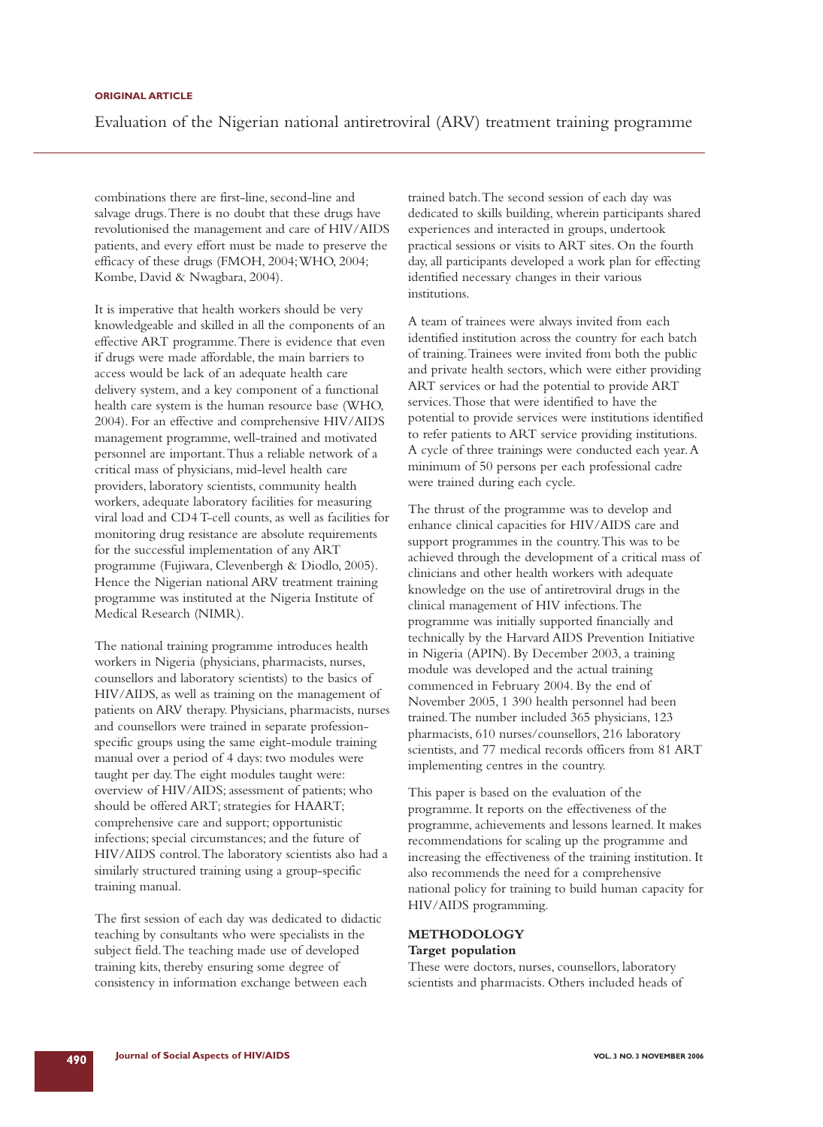Evaluation of the Nigerian national antiretroviral (ARV) treatment training programme

combinations there are first-line, second-line and salvage drugs.There is no doubt that these drugs have revolutionised the management and care of HIV/AIDS patients, and every effort must be made to preserve the efficacy of these drugs (FMOH, 2004; WHO, 2004; Kombe, David & Nwagbara, 2004).

It is imperative that health workers should be very knowledgeable and skilled in all the components of an effective ART programme.There is evidence that even if drugs were made affordable, the main barriers to access would be lack of an adequate health care delivery system, and a key component of a functional health care system is the human resource base (WHO, 2004). For an effective and comprehensive HIV/AIDS management programme, well-trained and motivated personnel are important.Thus a reliable network of a critical mass of physicians, mid-level health care providers, laboratory scientists, community health workers, adequate laboratory facilities for measuring viral load and CD4 T-cell counts, as well as facilities for monitoring drug resistance are absolute requirements for the successful implementation of any ART programme (Fujiwara, Clevenbergh & Diodlo, 2005). Hence the Nigerian national ARV treatment training programme was instituted at the Nigeria Institute of Medical Research (NIMR).

The national training programme introduces health workers in Nigeria (physicians, pharmacists, nurses, counsellors and laboratory scientists) to the basics of HIV/AIDS, as well as training on the management of patients on ARV therapy. Physicians, pharmacists, nurses and counsellors were trained in separate professionspecific groups using the same eight-module training manual over a period of 4 days: two modules were taught per day.The eight modules taught were: overview of HIV/AIDS; assessment of patients; who should be offered ART; strategies for HAART; comprehensive care and support; opportunistic infections; special circumstances; and the future of HIV/AIDS control.The laboratory scientists also had a similarly structured training using a group-specific training manual.

The first session of each day was dedicated to didactic teaching by consultants who were specialists in the subject field.The teaching made use of developed training kits, thereby ensuring some degree of consistency in information exchange between each

trained batch.The second session of each day was dedicated to skills building, wherein participants shared experiences and interacted in groups, undertook practical sessions or visits to ART sites. On the fourth day, all participants developed a work plan for effecting identified necessary changes in their various institutions.

A team of trainees were always invited from each identified institution across the country for each batch of training.Trainees were invited from both the public and private health sectors, which were either providing ART services or had the potential to provide ART services.Those that were identified to have the potential to provide services were institutions identified to refer patients to ART service providing institutions. A cycle of three trainings were conducted each year.A minimum of 50 persons per each professional cadre were trained during each cycle.

The thrust of the programme was to develop and enhance clinical capacities for HIV/AIDS care and support programmes in the country.This was to be achieved through the development of a critical mass of clinicians and other health workers with adequate knowledge on the use of antiretroviral drugs in the clinical management of HIV infections.The programme was initially supported financially and technically by the Harvard AIDS Prevention Initiative in Nigeria (APIN). By December 2003, a training module was developed and the actual training commenced in February 2004. By the end of November 2005, 1 390 health personnel had been trained.The number included 365 physicians, 123 pharmacists, 610 nurses/counsellors, 216 laboratory scientists, and 77 medical records officers from 81 ART implementing centres in the country.

This paper is based on the evaluation of the programme. It reports on the effectiveness of the programme, achievements and lessons learned. It makes recommendations for scaling up the programme and increasing the effectiveness of the training institution. It also recommends the need for a comprehensive national policy for training to build human capacity for HIV/AIDS programming.

# **METHODOLOGY Target population**

These were doctors, nurses, counsellors, laboratory scientists and pharmacists. Others included heads of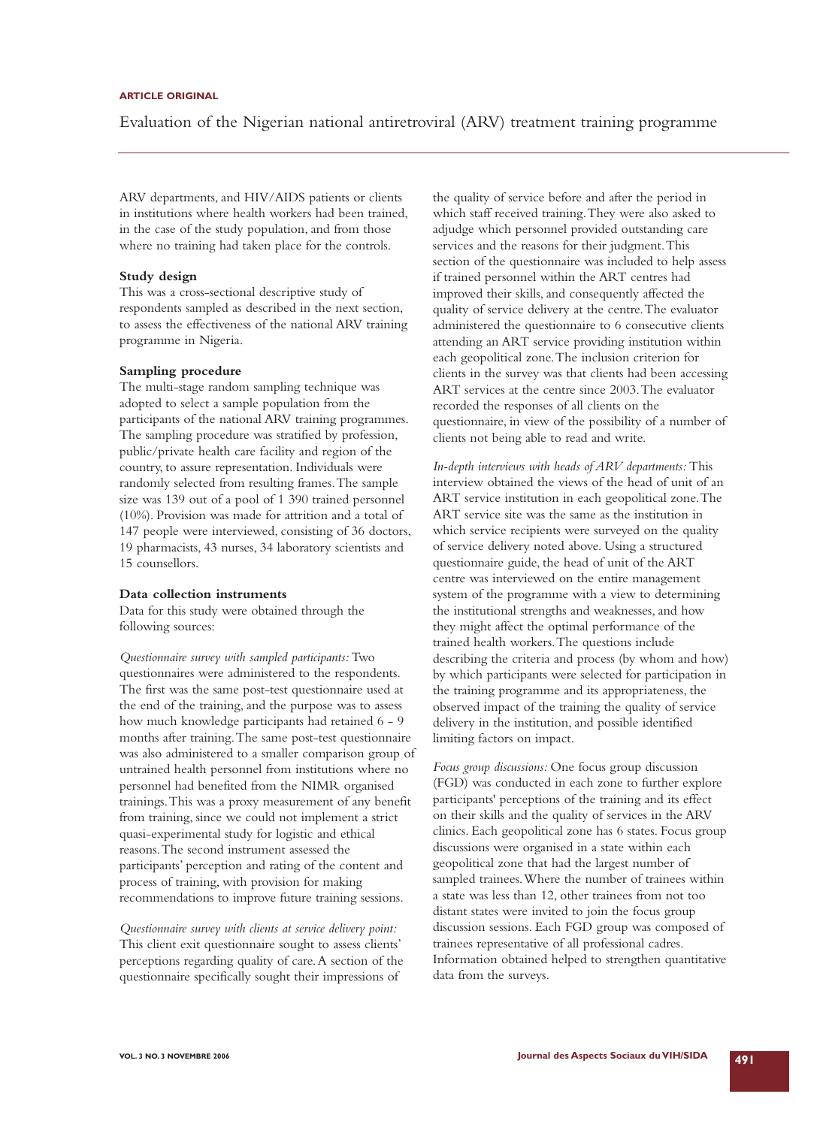Evaluation of the Nigerian national antiretroviral (ARV) treatment training programme

ARV departments, and HIV/AIDS patients or clients in institutions where health workers had been trained, in the case of the study population, and from those where no training had taken place for the controls.

## **Study design**

This was a cross-sectional descriptive study of respondents sampled as described in the next section, to assess the effectiveness of the national ARV training programme in Nigeria.

#### **Sampling procedure**

The multi-stage random sampling technique was adopted to select a sample population from the participants of the national ARV training programmes. The sampling procedure was stratified by profession, public/private health care facility and region of the country, to assure representation. Individuals were randomly selected from resulting frames.The sample size was 139 out of a pool of 1 390 trained personnel (10%). Provision was made for attrition and a total of 147 people were interviewed, consisting of 36 doctors, 19 pharmacists, 43 nurses, 34 laboratory scientists and 15 counsellors.

# **Data collection instruments**

Data for this study were obtained through the following sources:

*Questionnaire survey with sampled participants:* Two questionnaires were administered to the respondents. The first was the same post-test questionnaire used at the end of the training, and the purpose was to assess how much knowledge participants had retained 6 - 9 months after training.The same post-test questionnaire was also administered to a smaller comparison group of untrained health personnel from institutions where no personnel had benefited from the NIMR organised trainings.This was a proxy measurement of any benefit from training, since we could not implement a strict quasi-experimental study for logistic and ethical reasons.The second instrument assessed the participants' perception and rating of the content and process of training, with provision for making recommendations to improve future training sessions.

*Questionnaire survey with clients at service delivery point:* This client exit questionnaire sought to assess clients' perceptions regarding quality of care.A section of the questionnaire specifically sought their impressions of

the quality of service before and after the period in which staff received training.They were also asked to adjudge which personnel provided outstanding care services and the reasons for their judgment.This section of the questionnaire was included to help assess if trained personnel within the ART centres had improved their skills, and consequently affected the quality of service delivery at the centre.The evaluator administered the questionnaire to 6 consecutive clients attending an ART service providing institution within each geopolitical zone.The inclusion criterion for clients in the survey was that clients had been accessing ART services at the centre since 2003.The evaluator recorded the responses of all clients on the questionnaire, in view of the possibility of a number of clients not being able to read and write.

*In-depth interviews with heads of ARV departments:* This interview obtained the views of the head of unit of an ART service institution in each geopolitical zone.The ART service site was the same as the institution in which service recipients were surveyed on the quality of service delivery noted above. Using a structured questionnaire guide, the head of unit of the ART centre was interviewed on the entire management system of the programme with a view to determining the institutional strengths and weaknesses, and how they might affect the optimal performance of the trained health workers.The questions include describing the criteria and process (by whom and how) by which participants were selected for participation in the training programme and its appropriateness, the observed impact of the training the quality of service delivery in the institution, and possible identified limiting factors on impact.

*Focus group discussions:* One focus group discussion (FGD) was conducted in each zone to further explore participants' perceptions of the training and its effect on their skills and the quality of services in the ARV clinics. Each geopolitical zone has 6 states. Focus group discussions were organised in a state within each geopolitical zone that had the largest number of sampled trainees.Where the number of trainees within a state was less than 12, other trainees from not too distant states were invited to join the focus group discussion sessions. Each FGD group was composed of trainees representative of all professional cadres. Information obtained helped to strengthen quantitative data from the surveys.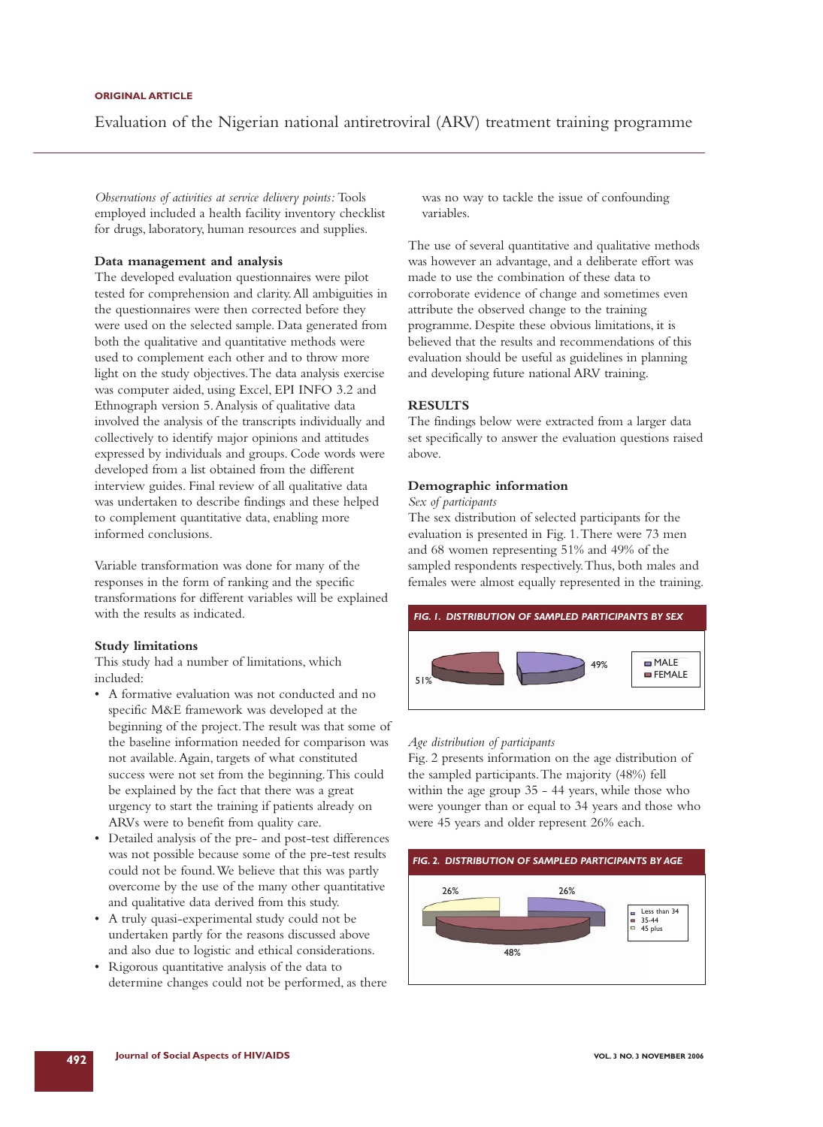Evaluation of the Nigerian national antiretroviral (ARV) treatment training programme

*Observations of activities at service delivery points:* Tools employed included a health facility inventory checklist for drugs, laboratory, human resources and supplies.

## **Data management and analysis**

The developed evaluation questionnaires were pilot tested for comprehension and clarity.All ambiguities in the questionnaires were then corrected before they were used on the selected sample. Data generated from both the qualitative and quantitative methods were used to complement each other and to throw more light on the study objectives.The data analysis exercise was computer aided, using Excel, EPI INFO 3.2 and Ethnograph version 5.Analysis of qualitative data involved the analysis of the transcripts individually and collectively to identify major opinions and attitudes expressed by individuals and groups. Code words were developed from a list obtained from the different interview guides. Final review of all qualitative data was undertaken to describe findings and these helped to complement quantitative data, enabling more informed conclusions.

Variable transformation was done for many of the responses in the form of ranking and the specific transformations for different variables will be explained with the results as indicated.

## **Study limitations**

This study had a number of limitations, which included:

- A formative evaluation was not conducted and no specific M&E framework was developed at the beginning of the project.The result was that some of the baseline information needed for comparison was not available.Again, targets of what constituted success were not set from the beginning.This could be explained by the fact that there was a great urgency to start the training if patients already on ARVs were to benefit from quality care.
- Detailed analysis of the pre- and post-test differences was not possible because some of the pre-test results could not be found.We believe that this was partly overcome by the use of the many other quantitative and qualitative data derived from this study.
- A truly quasi-experimental study could not be undertaken partly for the reasons discussed above and also due to logistic and ethical considerations.
- Rigorous quantitative analysis of the data to determine changes could not be performed, as there

was no way to tackle the issue of confounding variables.

The use of several quantitative and qualitative methods was however an advantage, and a deliberate effort was made to use the combination of these data to corroborate evidence of change and sometimes even attribute the observed change to the training programme. Despite these obvious limitations, it is believed that the results and recommendations of this evaluation should be useful as guidelines in planning and developing future national ARV training.

## **RESULTS**

The findings below were extracted from a larger data set specifically to answer the evaluation questions raised above.

## **Demographic information**

## *Sex of participants*

The sex distribution of selected participants for the evaluation is presented in Fig. 1.There were 73 men and 68 women representing 51% and 49% of the sampled respondents respectively.Thus, both males and females were almost equally represented in the training.



#### *Age distribution of participants*

Fig. 2 presents information on the age distribution of the sampled participants.The majority (48%) fell within the age group 35 - 44 years, while those who were younger than or equal to 34 years and those who were 45 years and older represent 26% each.

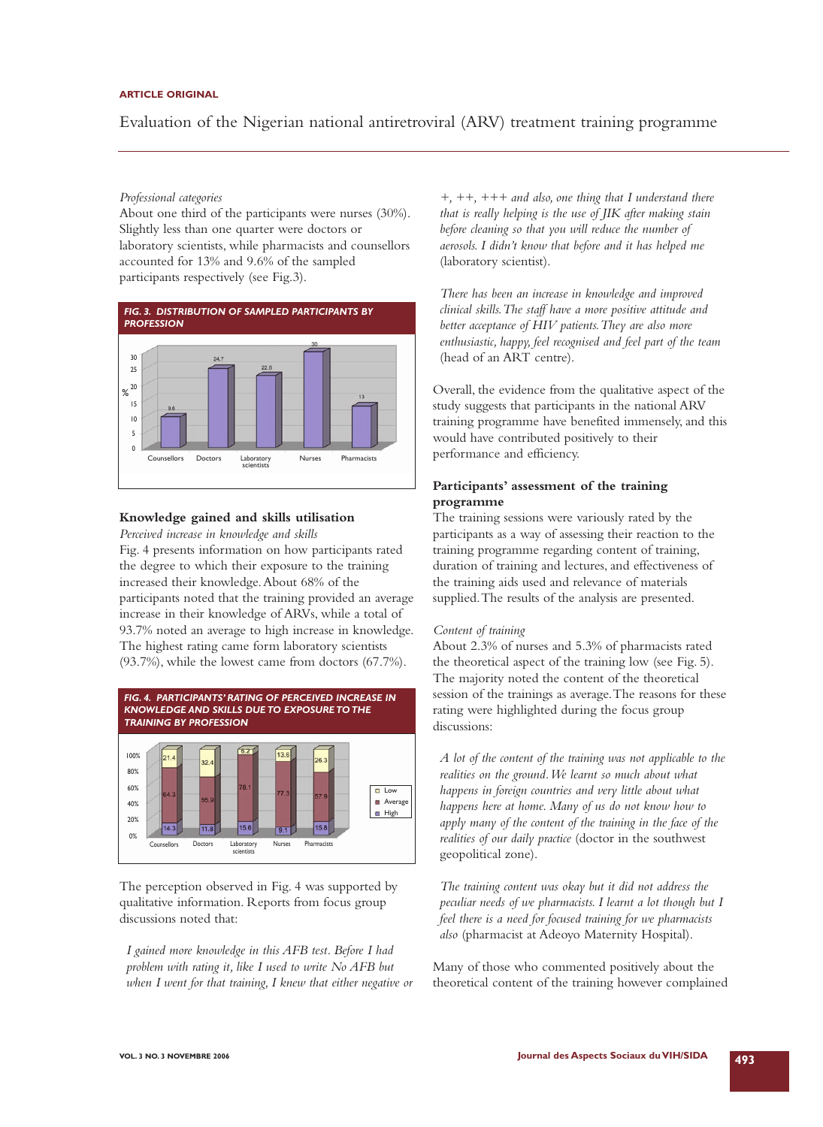Evaluation of the Nigerian national antiretroviral (ARV) treatment training programme

#### *Professional categories*

About one third of the participants were nurses (30%). Slightly less than one quarter were doctors or laboratory scientists, while pharmacists and counsellors accounted for 13% and 9.6% of the sampled participants respectively (see Fig.3).



## **Knowledge gained and skills utilisation**

*Perceived increase in knowledge and skills*

Fig. 4 presents information on how participants rated the degree to which their exposure to the training increased their knowledge.About 68% of the participants noted that the training provided an average increase in their knowledge of ARVs, while a total of 93.7% noted an average to high increase in knowledge. The highest rating came form laboratory scientists (93.7%), while the lowest came from doctors (67.7%).



The perception observed in Fig. 4 was supported by qualitative information. Reports from focus group discussions noted that:

*I gained more knowledge in this AFB test. Before I had problem with rating it, like I used to write No AFB but when I went for that training, I knew that either negative or*

*+, ++, +++ and also, one thing that I understand there that is really helping is the use of JIK after making stain before cleaning so that you will reduce the number of aerosols. I didn't know that before and it has helped me* (laboratory scientist).

*There has been an increase in knowledge and improved clinical skills.The staff have a more positive attitude and better acceptance of HIV patients.They are also more enthusiastic, happy, feel recognised and feel part of the team* (head of an ART centre).

Overall, the evidence from the qualitative aspect of the study suggests that participants in the national ARV training programme have benefited immensely, and this would have contributed positively to their performance and efficiency.

# **Participants' assessment of the training programme**

The training sessions were variously rated by the participants as a way of assessing their reaction to the training programme regarding content of training, duration of training and lectures, and effectiveness of the training aids used and relevance of materials supplied.The results of the analysis are presented.

#### *Content of training*

About 2.3% of nurses and 5.3% of pharmacists rated the theoretical aspect of the training low (see Fig. 5). The majority noted the content of the theoretical session of the trainings as average.The reasons for these rating were highlighted during the focus group discussions:

*A lot of the content of the training was not applicable to the realities on the ground.We learnt so much about what happens in foreign countries and very little about what happens here at home. Many of us do not know how to apply many of the content of the training in the face of the realities of our daily practice* (doctor in the southwest geopolitical zone).

*The training content was okay but it did not address the peculiar needs of we pharmacists. I learnt a lot though but I feel there is a need for focused training for we pharmacists also* (pharmacist at Adeoyo Maternity Hospital).

Many of those who commented positively about the theoretical content of the training however complained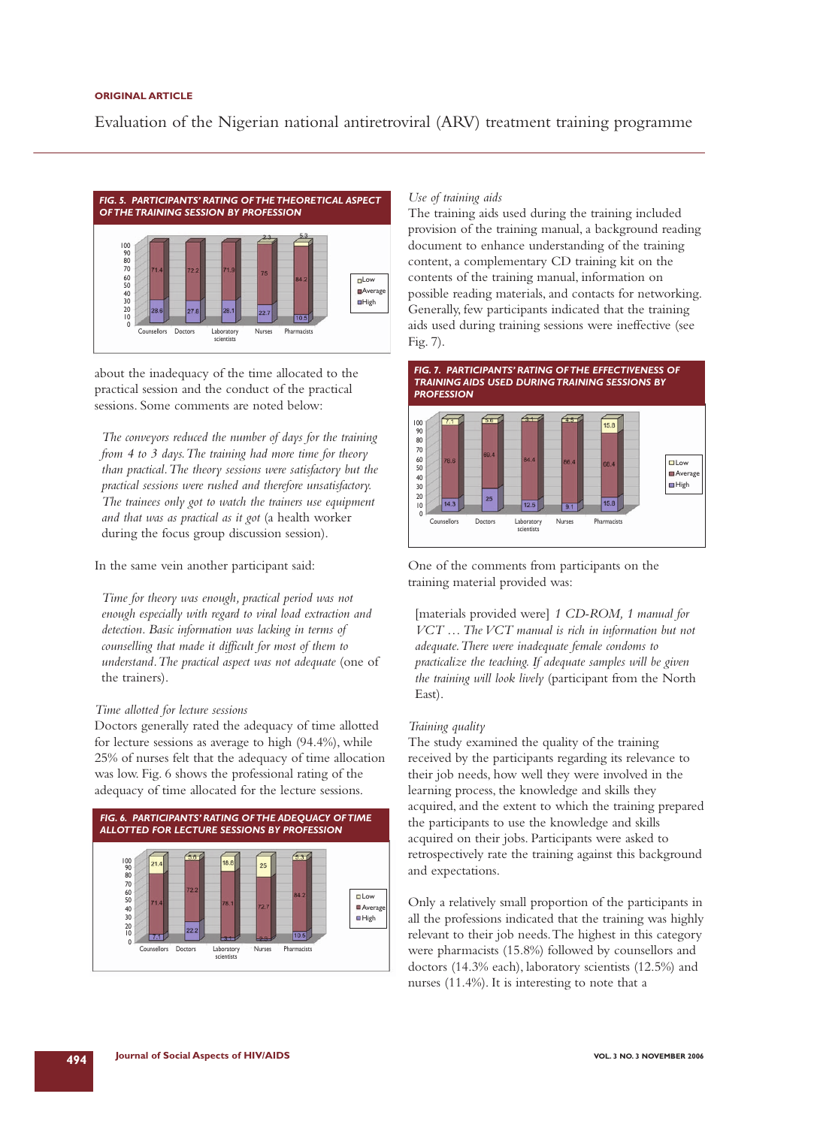Evaluation of the Nigerian national antiretroviral (ARV) treatment training programme



about the inadequacy of the time allocated to the practical session and the conduct of the practical sessions. Some comments are noted below:

*The conveyors reduced the number of days for the training from 4 to 3 days.The training had more time for theory than practical.The theory sessions were satisfactory but the practical sessions were rushed and therefore unsatisfactory. The trainees only got to watch the trainers use equipment and that was as practical as it got* (a health worker during the focus group discussion session).

In the same vein another participant said:

*Time for theory was enough, practical period was not enough especially with regard to viral load extraction and detection. Basic information was lacking in terms of counselling that made it difficult for most of them to understand.The practical aspect was not adequate* (one of the trainers).

## *Time allotted for lecture sessions*

Doctors generally rated the adequacy of time allotted for lecture sessions as average to high (94.4%), while 25% of nurses felt that the adequacy of time allocation was low. Fig. 6 shows the professional rating of the adequacy of time allocated for the lecture sessions.



#### *Use of training aids*

The training aids used during the training included provision of the training manual, a background reading document to enhance understanding of the training content, a complementary CD training kit on the contents of the training manual, information on possible reading materials, and contacts for networking. Generally, few participants indicated that the training aids used during training sessions were ineffective (see Fig. 7).



One of the comments from participants on the training material provided was:

[materials provided were] *1 CD-ROM, 1 manual for VCT … The VCT manual is rich in information but not adequate.There were inadequate female condoms to practicalize the teaching. If adequate samples will be given the training will look lively* (participant from the North East).

### *Training quality*

The study examined the quality of the training received by the participants regarding its relevance to their job needs, how well they were involved in the learning process, the knowledge and skills they acquired, and the extent to which the training prepared the participants to use the knowledge and skills acquired on their jobs. Participants were asked to retrospectively rate the training against this background and expectations.

Only a relatively small proportion of the participants in all the professions indicated that the training was highly relevant to their job needs.The highest in this category were pharmacists (15.8%) followed by counsellors and doctors (14.3% each), laboratory scientists (12.5%) and nurses (11.4%). It is interesting to note that a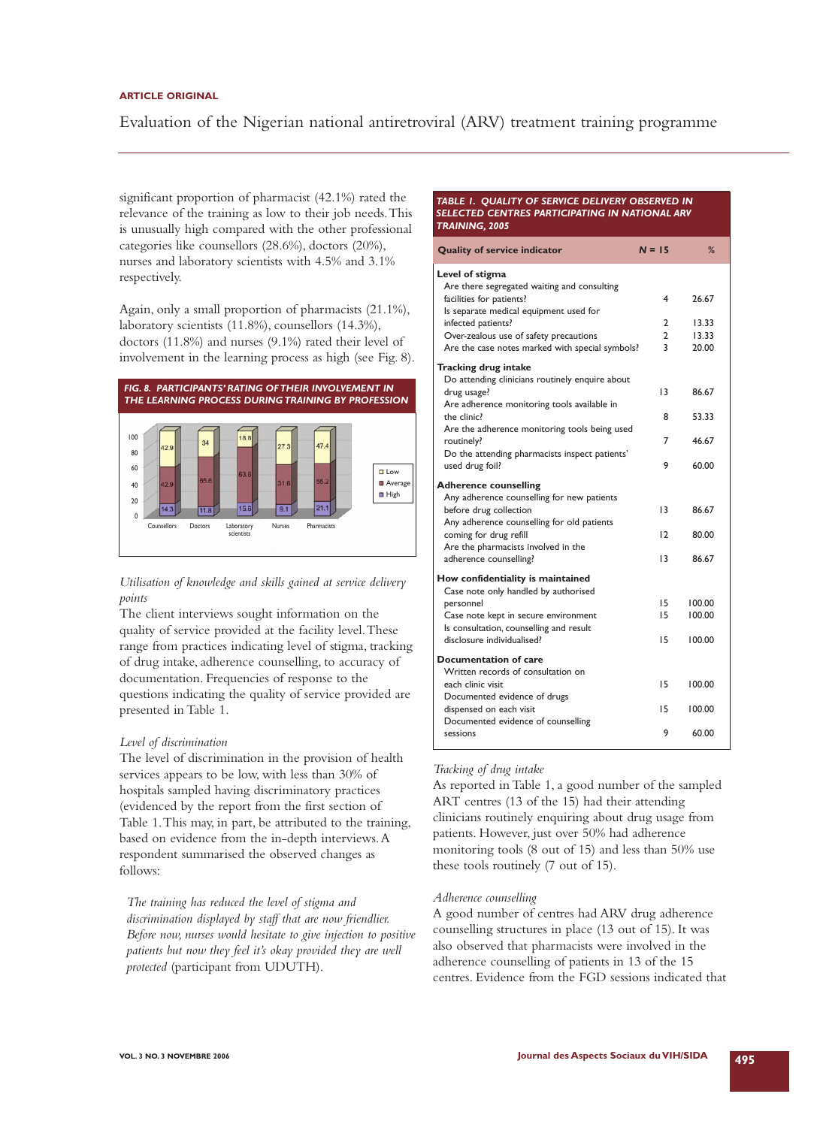Evaluation of the Nigerian national antiretroviral (ARV) treatment training programme

significant proportion of pharmacist (42.1%) rated the relevance of the training as low to their job needs.This is unusually high compared with the other professional categories like counsellors (28.6%), doctors (20%), nurses and laboratory scientists with 4.5% and 3.1% respectively.

Again, only a small proportion of pharmacists (21.1%), laboratory scientists (11.8%), counsellors (14.3%), doctors (11.8%) and nurses (9.1%) rated their level of involvement in the learning process as high (see Fig. 8).



# *Utilisation of knowledge and skills gained at service delivery points*

The client interviews sought information on the quality of service provided at the facility level.These range from practices indicating level of stigma, tracking of drug intake, adherence counselling, to accuracy of documentation. Frequencies of response to the questions indicating the quality of service provided are presented in Table 1.

## *Level of discrimination*

The level of discrimination in the provision of health services appears to be low, with less than 30% of hospitals sampled having discriminatory practices (evidenced by the report from the first section of Table 1.This may, in part, be attributed to the training, based on evidence from the in-depth interviews.A respondent summarised the observed changes as follows:

*The training has reduced the level of stigma and discrimination displayed by staff that are now friendlier. Before now, nurses would hesitate to give injection to positive patients but now they feel it's okay provided they are well protected* (participant from UDUTH).

#### *TABLE 1. QUALITY OF SERVICE DELIVERY OBSERVED IN SELECTED CENTRES PARTICIPATING IN NATIONAL ARV TRAINING, 2005*

| <b>Quality of service indicator</b>                                                       | $N = 15$        | %              |
|-------------------------------------------------------------------------------------------|-----------------|----------------|
| Level of stigma                                                                           |                 |                |
| Are there segregated waiting and consulting<br>facilities for patients?                   | 4               | 26.67          |
| Is separate medical equipment used for                                                    |                 |                |
| infected patients?                                                                        | C               | 13.33          |
| Over-zealous use of safety precautions<br>Are the case notes marked with special symbols? | 2<br>3          | 13.33<br>20.00 |
|                                                                                           |                 |                |
| <b>Tracking drug intake</b><br>Do attending clinicians routinely enquire about            |                 |                |
| drug usage?                                                                               | 13              | 86.67          |
| Are adherence monitoring tools available in                                               |                 |                |
| the clinic?                                                                               | 8               | 53.33          |
| Are the adherence monitoring tools being used<br>routinely?                               | 7               | 46.67          |
| Do the attending pharmacists inspect patients'                                            |                 |                |
| used drug foil?                                                                           | 9               | 60.00          |
| <b>Adherence counselling</b>                                                              |                 |                |
| Any adherence counselling for new patients                                                |                 |                |
| before drug collection                                                                    | $\overline{13}$ | 86.67          |
| Any adherence counselling for old patients<br>coming for drug refill                      | $\overline{2}$  | 80.00          |
| Are the pharmacists involved in the                                                       |                 |                |
| adherence counselling?                                                                    | 13              | 86.67          |
| How confidentiality is maintained                                                         |                 |                |
| Case note only handled by authorised                                                      |                 |                |
| personnel                                                                                 | 15              | 100.00         |
| Case note kept in secure environment<br>Is consultation, counselling and result           | 15              | 100.00         |
| disclosure individualised?                                                                | 15              | 100.00         |
| Documentation of care                                                                     |                 |                |
| Written records of consultation on                                                        |                 |                |
| each clinic visit                                                                         | 15              | 100.00         |
| Documented evidence of drugs                                                              |                 |                |
| dispensed on each visit                                                                   | 15              | 100.00         |
| Documented evidence of counselling                                                        |                 |                |
| sessions                                                                                  | 9               | 60.00          |

## *Tracking of drug intake*

As reported in Table 1, a good number of the sampled ART centres (13 of the 15) had their attending clinicians routinely enquiring about drug usage from patients. However, just over 50% had adherence monitoring tools (8 out of 15) and less than 50% use these tools routinely (7 out of 15).

#### *Adherence counselling*

A good number of centres had ARV drug adherence counselling structures in place (13 out of 15). It was also observed that pharmacists were involved in the adherence counselling of patients in 13 of the 15 centres. Evidence from the FGD sessions indicated that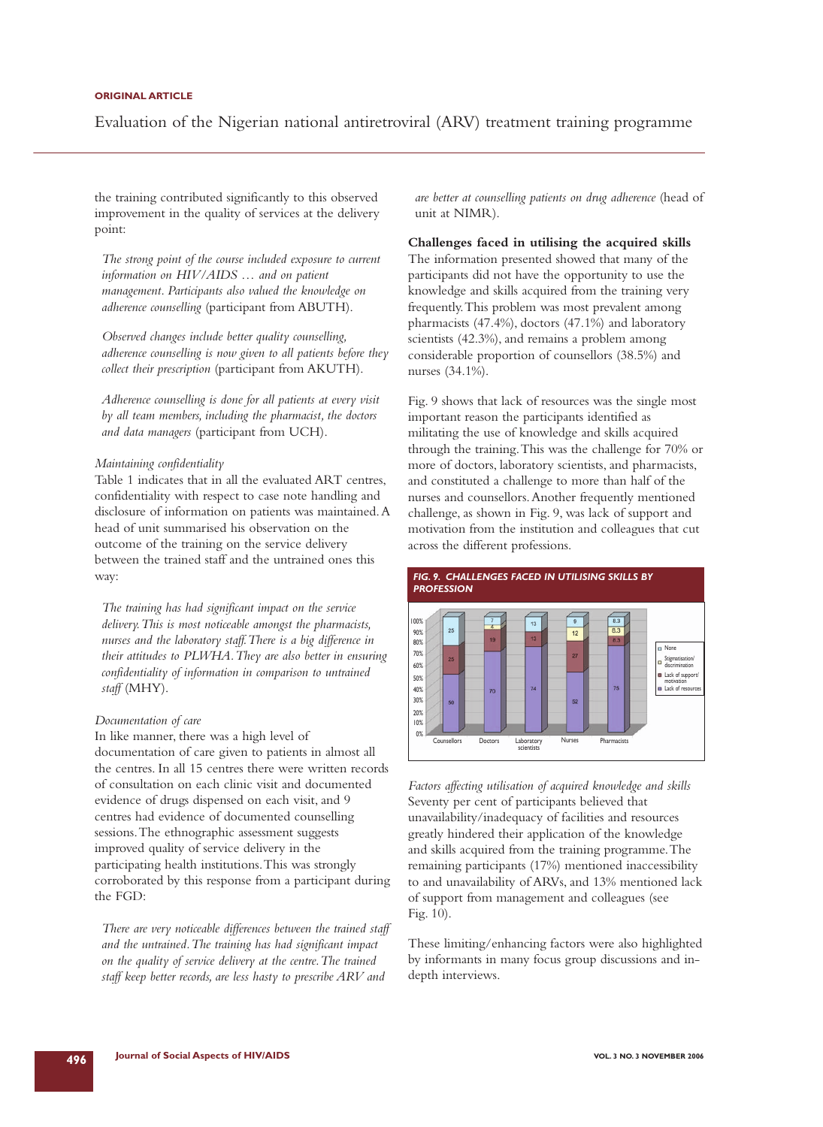Evaluation of the Nigerian national antiretroviral (ARV) treatment training programme

the training contributed significantly to this observed improvement in the quality of services at the delivery point:

*The strong point of the course included exposure to current information on HIV/AIDS … and on patient management. Participants also valued the knowledge on adherence counselling* (participant from ABUTH).

*Observed changes include better quality counselling, adherence counselling is now given to all patients before they collect their prescription* (participant from AKUTH).

*Adherence counselling is done for all patients at every visit by all team members, including the pharmacist, the doctors and data managers* (participant from UCH).

## *Maintaining confidentiality*

Table 1 indicates that in all the evaluated ART centres, confidentiality with respect to case note handling and disclosure of information on patients was maintained.A head of unit summarised his observation on the outcome of the training on the service delivery between the trained staff and the untrained ones this way:

*The training has had significant impact on the service delivery.This is most noticeable amongst the pharmacists, nurses and the laboratory staff.There is a big difference in their attitudes to PLWHA.They are also better in ensuring confidentiality of information in comparison to untrained staff* (MHY).

#### *Documentation of care*

In like manner, there was a high level of documentation of care given to patients in almost all the centres. In all 15 centres there were written records of consultation on each clinic visit and documented evidence of drugs dispensed on each visit, and 9 centres had evidence of documented counselling sessions.The ethnographic assessment suggests improved quality of service delivery in the participating health institutions.This was strongly corroborated by this response from a participant during the FGD:

*There are very noticeable differences between the trained staff and the untrained.The training has had significant impact on the quality of service delivery at the centre.The trained staff keep better records, are less hasty to prescribe ARV and*

*are better at counselling patients on drug adherence* (head of unit at NIMR).

**Challenges faced in utilising the acquired skills** The information presented showed that many of the participants did not have the opportunity to use the knowledge and skills acquired from the training very frequently.This problem was most prevalent among pharmacists (47.4%), doctors (47.1%) and laboratory scientists (42.3%), and remains a problem among considerable proportion of counsellors (38.5%) and nurses (34.1%).

Fig. 9 shows that lack of resources was the single most important reason the participants identified as militating the use of knowledge and skills acquired through the training.This was the challenge for 70% or more of doctors, laboratory scientists, and pharmacists, and constituted a challenge to more than half of the nurses and counsellors.Another frequently mentioned challenge, as shown in Fig. 9, was lack of support and motivation from the institution and colleagues that cut across the different professions.



*Factors affecting utilisation of acquired knowledge and skills* Seventy per cent of participants believed that unavailability/inadequacy of facilities and resources greatly hindered their application of the knowledge and skills acquired from the training programme.The remaining participants (17%) mentioned inaccessibility to and unavailability of ARVs, and 13% mentioned lack of support from management and colleagues (see Fig. 10).

These limiting/enhancing factors were also highlighted by informants in many focus group discussions and indepth interviews.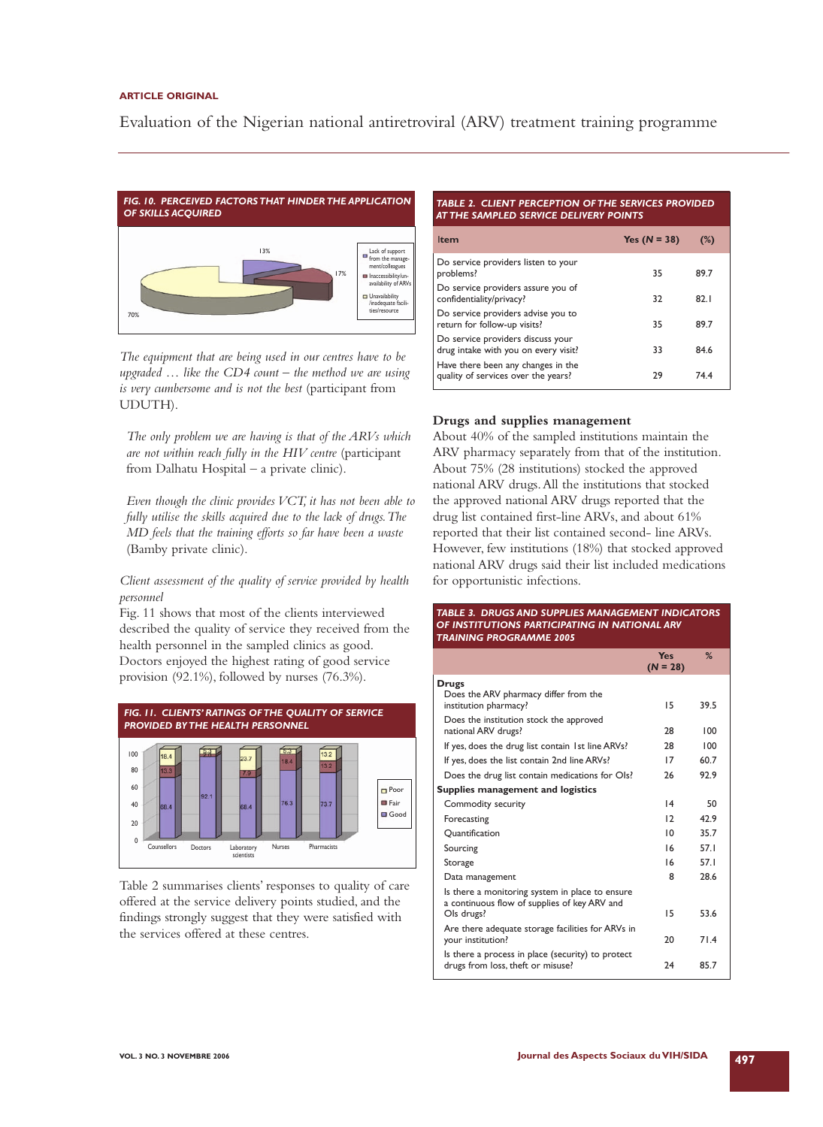Evaluation of the Nigerian national antiretroviral (ARV) treatment training programme



*The equipment that are being used in our centres have to be upgraded … like the CD4 count – the method we are using is very cumbersome and is not the best* (participant from UDUTH).

*The only problem we are having is that of the ARVs which are not within reach fully in the HIV centre* (participant from Dalhatu Hospital – a private clinic).

*Even though the clinic provides VCT, it has not been able to fully utilise the skills acquired due to the lack of drugs.The MD feels that the training efforts so far have been a waste* (Bamby private clinic).

## *Client assessment of the quality of service provided by health personnel*

Fig. 11 shows that most of the clients interviewed described the quality of service they received from the health personnel in the sampled clinics as good. Doctors enjoyed the highest rating of good service provision (92.1%), followed by nurses (76.3%).



Table 2 summarises clients' responses to quality of care offered at the service delivery points studied, and the findings strongly suggest that they were satisfied with the services offered at these centres.

#### *TABLE 2. CLIENT PERCEPTION OF THE SERVICES PROVIDED AT THE SAMPLED SERVICE DELIVERY POINTS*

| ltem                                                                      | Yes $(N = 38)$ | (%)  |
|---------------------------------------------------------------------------|----------------|------|
| Do service providers listen to your<br>problems?                          | 35             | 89.7 |
| Do service providers assure you of<br>confidentiality/privacy?            | 32             | 82.1 |
| Do service providers advise you to<br>return for follow-up visits?        | 35             | 89.7 |
| Do service providers discuss your<br>drug intake with you on every visit? | 33             | 84.6 |
| Have there been any changes in the<br>quality of services over the years? | 29             | 74.4 |

### **Drugs and supplies management**

About 40% of the sampled institutions maintain the ARV pharmacy separately from that of the institution. About 75% (28 institutions) stocked the approved national ARV drugs.All the institutions that stocked the approved national ARV drugs reported that the drug list contained first-line ARVs, and about 61% reported that their list contained second- line ARVs. However, few institutions (18%) that stocked approved national ARV drugs said their list included medications for opportunistic infections.

#### *TABLE 3. DRUGS AND SUPPLIES MANAGEMENT INDICATORS OF INSTITUTIONS PARTICIPATING IN NATIONAL ARV TRAINING PROGRAMME 2005*

|                                                                                                 | Yes<br>$(N = 28)$ | %    |
|-------------------------------------------------------------------------------------------------|-------------------|------|
| Drugs                                                                                           |                   |      |
| Does the ARV pharmacy differ from the<br>institution pharmacy?                                  | 15                | 39.5 |
| Does the institution stock the approved<br>national ARV drugs?                                  | 28                | 100  |
| If yes, does the drug list contain 1st line ARVs?                                               | 28                | 100  |
| If yes, does the list contain 2nd line ARVs?                                                    | 17                | 60.7 |
| Does the drug list contain medications for Ols?                                                 | 26                | 92.9 |
| Supplies management and logistics                                                               |                   |      |
| Commodity security                                                                              | $\overline{14}$   | 50   |
| Forecasting                                                                                     | $\overline{2}$    | 42.9 |
| <b>Ouantification</b>                                                                           | 10                | 35.7 |
| Sourcing                                                                                        | $\overline{6}$    | 57.1 |
| Storage                                                                                         | 16                | 57.1 |
| Data management                                                                                 | 8                 | 28.6 |
| Is there a monitoring system in place to ensure<br>a continuous flow of supplies of key ARV and |                   |      |
| Ols drugs?                                                                                      | 15                | 53.6 |
| Are there adequate storage facilities for ARVs in<br>your institution?                          | 20                | 71.4 |
| Is there a process in place (security) to protect<br>drugs from loss, theft or misuse?          | 24                | 85.7 |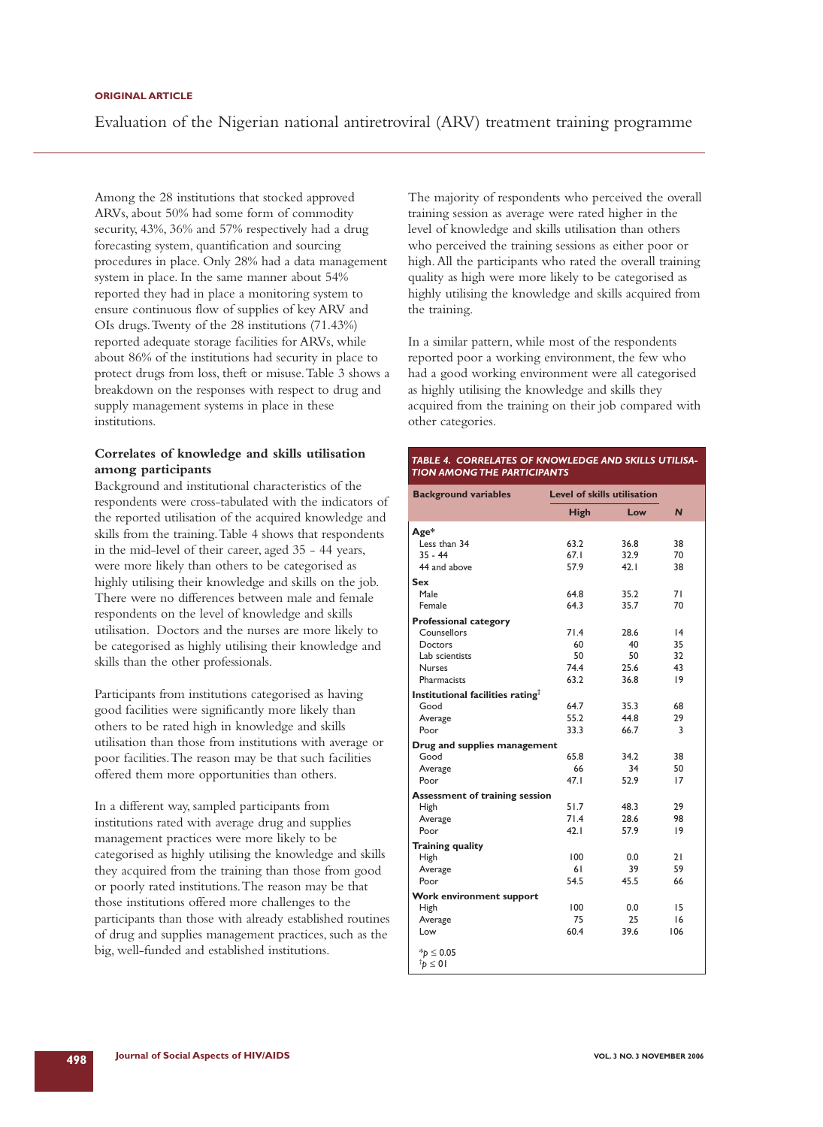Evaluation of the Nigerian national antiretroviral (ARV) treatment training programme

Among the 28 institutions that stocked approved ARVs, about 50% had some form of commodity security, 43%, 36% and 57% respectively had a drug forecasting system, quantification and sourcing procedures in place. Only 28% had a data management system in place. In the same manner about 54% reported they had in place a monitoring system to ensure continuous flow of supplies of key ARV and OIs drugs.Twenty of the 28 institutions (71.43%) reported adequate storage facilities for ARVs, while about 86% of the institutions had security in place to protect drugs from loss, theft or misuse.Table 3 shows a breakdown on the responses with respect to drug and supply management systems in place in these institutions.

# **Correlates of knowledge and skills utilisation among participants**

Background and institutional characteristics of the respondents were cross-tabulated with the indicators of the reported utilisation of the acquired knowledge and skills from the training.Table 4 shows that respondents in the mid-level of their career, aged 35 - 44 years, were more likely than others to be categorised as highly utilising their knowledge and skills on the job. There were no differences between male and female respondents on the level of knowledge and skills utilisation. Doctors and the nurses are more likely to be categorised as highly utilising their knowledge and skills than the other professionals.

Participants from institutions categorised as having good facilities were significantly more likely than others to be rated high in knowledge and skills utilisation than those from institutions with average or poor facilities.The reason may be that such facilities offered them more opportunities than others.

In a different way, sampled participants from institutions rated with average drug and supplies management practices were more likely to be categorised as highly utilising the knowledge and skills they acquired from the training than those from good or poorly rated institutions.The reason may be that those institutions offered more challenges to the participants than those with already established routines of drug and supplies management practices, such as the big, well-funded and established institutions.

The majority of respondents who perceived the overall training session as average were rated higher in the level of knowledge and skills utilisation than others who perceived the training sessions as either poor or high.All the participants who rated the overall training quality as high were more likely to be categorised as highly utilising the knowledge and skills acquired from the training.

In a similar pattern, while most of the respondents reported poor a working environment, the few who had a good working environment were all categorised as highly utilising the knowledge and skills they acquired from the training on their job compared with other categories.

## *TABLE 4. CORRELATES OF KNOWLEDGE AND SKILLS UTILISA-TION AMONG THE PARTICIPANTS*

| <b>Background variables</b>           | Level of skills utilisation |      |     |
|---------------------------------------|-----------------------------|------|-----|
|                                       | <b>High</b>                 | Low  | N   |
| Age*                                  |                             |      |     |
| Less than 34                          | 63.2                        | 36.8 | 38  |
| $35 - 44$                             | 67.1                        | 32.9 | 70  |
| 44 and above                          | 57.9                        | 42.1 | 38  |
| Sex                                   |                             |      |     |
| Male                                  | 64.8                        | 35.2 | 71  |
| Female                                | 64.3                        | 35.7 | 70  |
| <b>Professional category</b>          |                             |      |     |
| Counsellors                           | 71.4                        | 28.6 | 4   |
| Doctors                               | 60                          | 40   | 35  |
| Lab scientists                        | 50                          | 50   | 32  |
| <b>Nurses</b>                         | 74.4                        | 25.6 | 43  |
| Pharmacists                           | 63.2                        | 36.8 | 19  |
| Institutional facilities rating $†$   |                             |      |     |
| Good                                  | 64.7                        | 35.3 | 68  |
| Average                               | 55.2                        | 44.8 | 29  |
| Poor                                  | 33.3                        | 66.7 | 3   |
| Drug and supplies management          |                             |      |     |
| Good                                  | 65.8                        | 34.2 | 38  |
| Average                               | 66                          | 34   | 50  |
| Poor                                  | 47.1                        | 52.9 | 17  |
| <b>Assessment of training session</b> |                             |      |     |
| High                                  | 51.7                        | 48.3 | 29  |
| Average                               | 71.4                        | 28.6 | 98  |
| Poor                                  | 42.1                        | 57.9 | 19  |
| <b>Training quality</b>               |                             |      |     |
| High                                  | 100                         | 0.0  | 21  |
| Average                               | 61                          | 39   | 59  |
| Poor                                  | 54.5                        | 45.5 | 66  |
| Work environment support              |                             |      |     |
| <b>High</b>                           | 100                         | 0.0  | 15  |
| Average                               | 75                          | 25   | 16  |
| Low                                   | 60.4                        | 39.6 | 106 |
| $*$ <sub>D</sub> ≤ 0.05               |                             |      |     |
| $\phi \leq 0$ l                       |                             |      |     |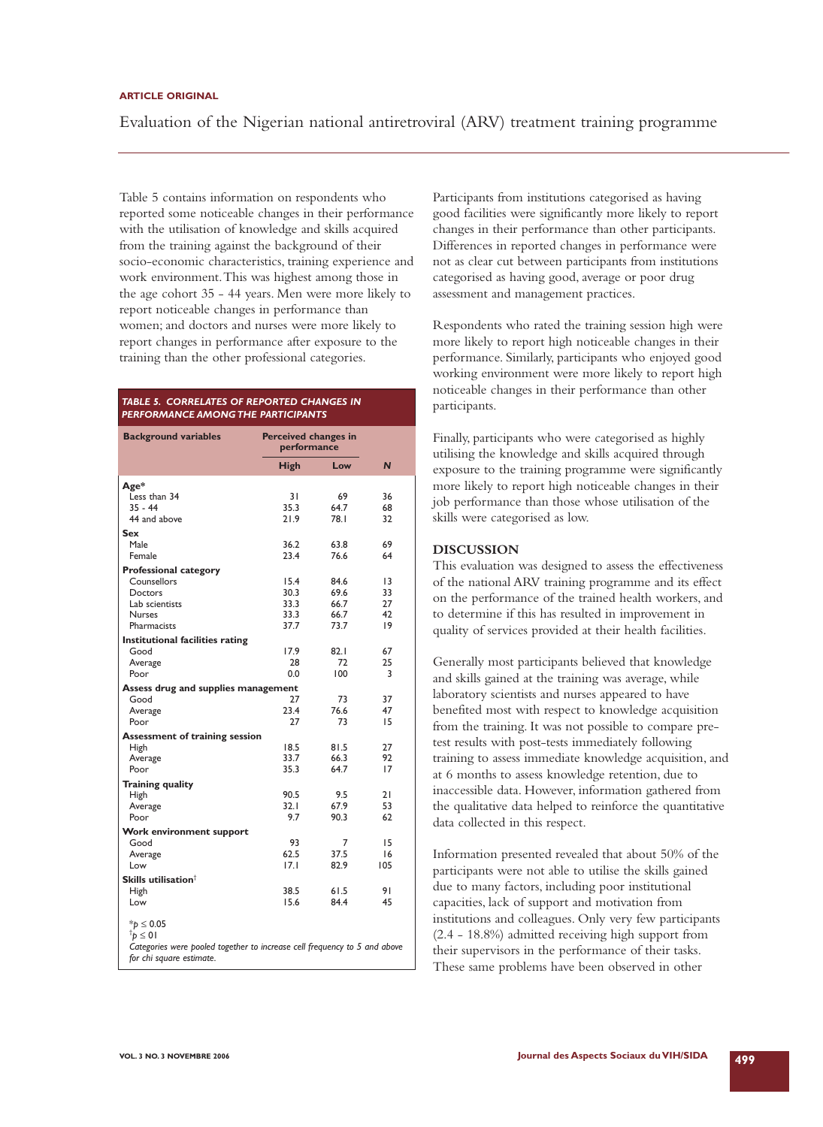Evaluation of the Nigerian national antiretroviral (ARV) treatment training programme

Table 5 contains information on respondents who reported some noticeable changes in their performance with the utilisation of knowledge and skills acquired from the training against the background of their socio-economic characteristics, training experience and work environment.This was highest among those in the age cohort 35 - 44 years. Men were more likely to report noticeable changes in performance than women; and doctors and nurses were more likely to report changes in performance after exposure to the training than the other professional categories.

*TABLE 5. CORRELATES OF REPORTED CHANGES IN PERFORMANCE AMONG THE PARTICIPANTS*

| <b>Background variables</b>                                                                                                                     | <b>Perceived changes in</b><br>performance |      |                 |
|-------------------------------------------------------------------------------------------------------------------------------------------------|--------------------------------------------|------|-----------------|
|                                                                                                                                                 | High                                       | Low  | N               |
| $Age*$                                                                                                                                          |                                            |      |                 |
| Less than 34                                                                                                                                    | 31                                         | 69   | 36              |
| $35 - 44$                                                                                                                                       | 35.3                                       | 64.7 | 68              |
| 44 and above                                                                                                                                    | 21.9                                       | 78.I | 32              |
| <b>Sex</b>                                                                                                                                      |                                            |      |                 |
| Male                                                                                                                                            | 36.2                                       | 63.8 | 69              |
| Female                                                                                                                                          | 23.4                                       | 76.6 | 64              |
| <b>Professional category</b>                                                                                                                    |                                            |      |                 |
| Counsellors                                                                                                                                     | 15.4                                       | 84.6 | $\overline{13}$ |
| Doctors                                                                                                                                         | 30.3                                       | 69.6 | 33              |
| Lab scientists                                                                                                                                  | 33.3                                       | 66.7 | 27              |
| <b>Nurses</b>                                                                                                                                   | 33.3                                       | 66.7 | 42              |
| Pharmacists                                                                                                                                     | 37.7                                       | 73.7 | 9               |
| Institutional facilities rating                                                                                                                 |                                            |      |                 |
| Good                                                                                                                                            | 17.9                                       | 82.1 | 67              |
| Average                                                                                                                                         | 28                                         | 72   | 25              |
| Poor                                                                                                                                            | 0.0                                        | 100  | 3               |
| Assess drug and supplies management                                                                                                             |                                            |      |                 |
| Good                                                                                                                                            | 27                                         | 73   | 37              |
| Average                                                                                                                                         | 23.4                                       | 76.6 | 47              |
| Poor                                                                                                                                            | 27                                         | 73   | 15              |
| <b>Assessment of training session</b>                                                                                                           |                                            |      |                 |
| High                                                                                                                                            | 18.5                                       | 81.5 | 27              |
| Average                                                                                                                                         | 33.7                                       | 66.3 | 92              |
| Poor                                                                                                                                            | 35.3                                       | 64.7 | 17              |
| <b>Training quality</b>                                                                                                                         |                                            |      |                 |
| High                                                                                                                                            | 90.5                                       | 9.5  | 21              |
| Average                                                                                                                                         | 32.1                                       | 67.9 | 53              |
| Poor                                                                                                                                            | 9.7                                        | 90.3 | 62              |
| Work environment support                                                                                                                        |                                            |      |                 |
| Good                                                                                                                                            | 93                                         | 7    | 15              |
| Average                                                                                                                                         | 62.5                                       | 37.5 | 16              |
| Low                                                                                                                                             | 17.1                                       | 82.9 | 105             |
| Skills utilisation <sup>†</sup>                                                                                                                 |                                            |      |                 |
| High                                                                                                                                            | 38.5                                       | 61.5 | 91              |
| Low                                                                                                                                             | 15.6                                       | 84.4 | 45              |
| $*$ <i>p</i> ≤ 0.05<br>$\phi \leq 0$ l<br>Categories were pooled together to increase cell frequency to 5 and above<br>for chi square estimate. |                                            |      |                 |

Participants from institutions categorised as having good facilities were significantly more likely to report changes in their performance than other participants. Differences in reported changes in performance were not as clear cut between participants from institutions categorised as having good, average or poor drug assessment and management practices.

Respondents who rated the training session high were more likely to report high noticeable changes in their performance. Similarly, participants who enjoyed good working environment were more likely to report high noticeable changes in their performance than other participants.

Finally, participants who were categorised as highly utilising the knowledge and skills acquired through exposure to the training programme were significantly more likely to report high noticeable changes in their job performance than those whose utilisation of the skills were categorised as low.

## **DISCUSSION**

This evaluation was designed to assess the effectiveness of the national ARV training programme and its effect on the performance of the trained health workers, and to determine if this has resulted in improvement in quality of services provided at their health facilities.

Generally most participants believed that knowledge and skills gained at the training was average, while laboratory scientists and nurses appeared to have benefited most with respect to knowledge acquisition from the training. It was not possible to compare pretest results with post-tests immediately following training to assess immediate knowledge acquisition, and at 6 months to assess knowledge retention, due to inaccessible data. However, information gathered from the qualitative data helped to reinforce the quantitative data collected in this respect.

Information presented revealed that about 50% of the participants were not able to utilise the skills gained due to many factors, including poor institutional capacities, lack of support and motivation from institutions and colleagues. Only very few participants (2.4 - 18.8%) admitted receiving high support from their supervisors in the performance of their tasks. These same problems have been observed in other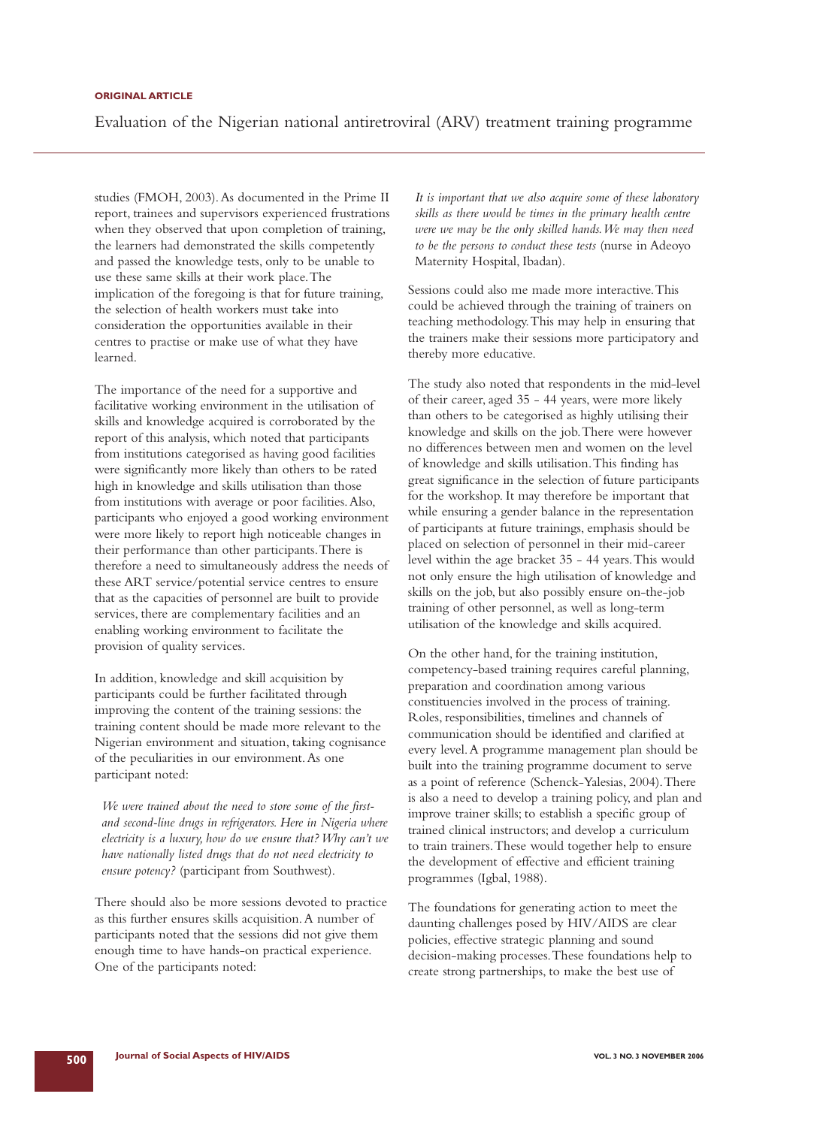Evaluation of the Nigerian national antiretroviral (ARV) treatment training programme

studies (FMOH, 2003).As documented in the Prime II report, trainees and supervisors experienced frustrations when they observed that upon completion of training, the learners had demonstrated the skills competently and passed the knowledge tests, only to be unable to use these same skills at their work place.The implication of the foregoing is that for future training, the selection of health workers must take into consideration the opportunities available in their centres to practise or make use of what they have learned.

The importance of the need for a supportive and facilitative working environment in the utilisation of skills and knowledge acquired is corroborated by the report of this analysis, which noted that participants from institutions categorised as having good facilities were significantly more likely than others to be rated high in knowledge and skills utilisation than those from institutions with average or poor facilities.Also, participants who enjoyed a good working environment were more likely to report high noticeable changes in their performance than other participants.There is therefore a need to simultaneously address the needs of these ART service/potential service centres to ensure that as the capacities of personnel are built to provide services, there are complementary facilities and an enabling working environment to facilitate the provision of quality services.

In addition, knowledge and skill acquisition by participants could be further facilitated through improving the content of the training sessions: the training content should be made more relevant to the Nigerian environment and situation, taking cognisance of the peculiarities in our environment.As one participant noted:

*We were trained about the need to store some of the firstand second-line drugs in refrigerators. Here in Nigeria where electricity is a luxury, how do we ensure that? Why can't we have nationally listed drugs that do not need electricity to ensure potency?* (participant from Southwest).

There should also be more sessions devoted to practice as this further ensures skills acquisition.A number of participants noted that the sessions did not give them enough time to have hands-on practical experience. One of the participants noted:

*It is important that we also acquire some of these laboratory skills as there would be times in the primary health centre were we may be the only skilled hands.We may then need to be the persons to conduct these tests* (nurse in Adeoyo Maternity Hospital, Ibadan).

Sessions could also me made more interactive.This could be achieved through the training of trainers on teaching methodology.This may help in ensuring that the trainers make their sessions more participatory and thereby more educative.

The study also noted that respondents in the mid-level of their career, aged 35 - 44 years, were more likely than others to be categorised as highly utilising their knowledge and skills on the job.There were however no differences between men and women on the level of knowledge and skills utilisation.This finding has great significance in the selection of future participants for the workshop. It may therefore be important that while ensuring a gender balance in the representation of participants at future trainings, emphasis should be placed on selection of personnel in their mid-career level within the age bracket 35 - 44 years.This would not only ensure the high utilisation of knowledge and skills on the job, but also possibly ensure on-the-job training of other personnel, as well as long-term utilisation of the knowledge and skills acquired.

On the other hand, for the training institution, competency-based training requires careful planning, preparation and coordination among various constituencies involved in the process of training. Roles, responsibilities, timelines and channels of communication should be identified and clarified at every level.A programme management plan should be built into the training programme document to serve as a point of reference (Schenck-Yalesias, 2004).There is also a need to develop a training policy, and plan and improve trainer skills; to establish a specific group of trained clinical instructors; and develop a curriculum to train trainers.These would together help to ensure the development of effective and efficient training programmes (Igbal, 1988).

The foundations for generating action to meet the daunting challenges posed by HIV/AIDS are clear policies, effective strategic planning and sound decision-making processes.These foundations help to create strong partnerships, to make the best use of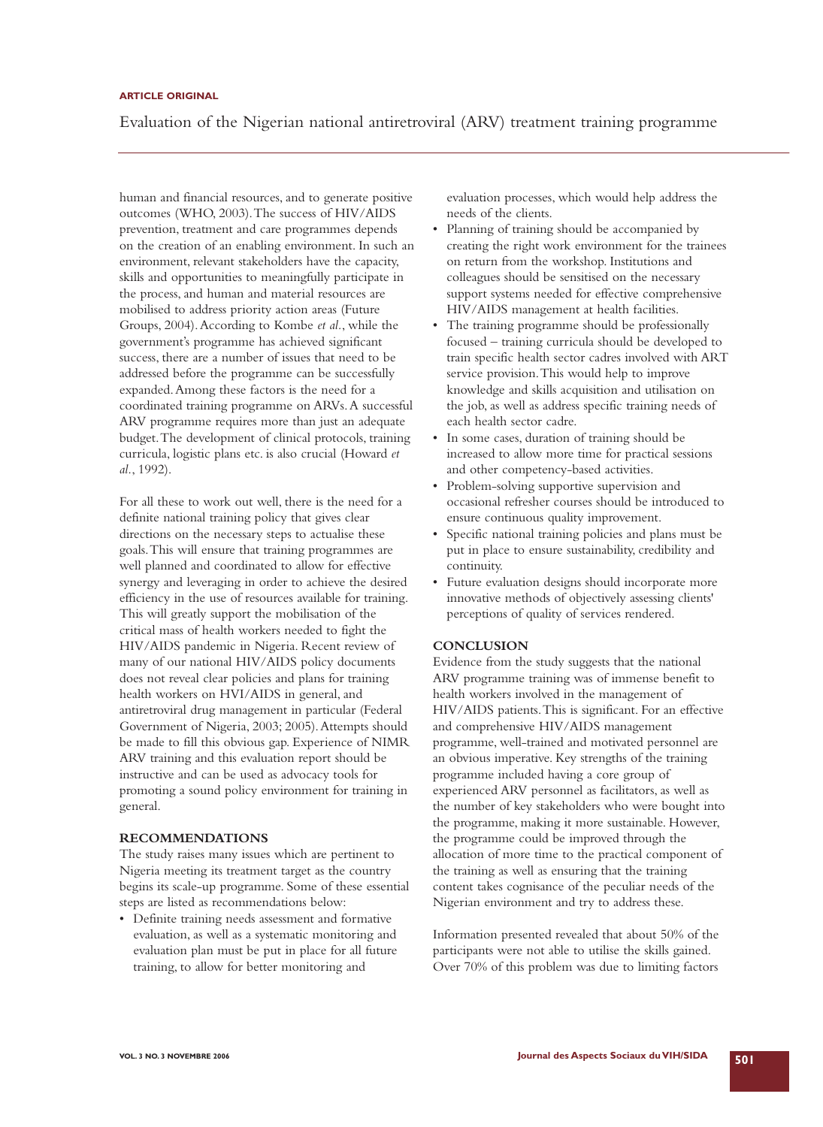Evaluation of the Nigerian national antiretroviral (ARV) treatment training programme

human and financial resources, and to generate positive outcomes (WHO, 2003).The success of HIV/AIDS prevention, treatment and care programmes depends on the creation of an enabling environment. In such an environment, relevant stakeholders have the capacity, skills and opportunities to meaningfully participate in the process, and human and material resources are mobilised to address priority action areas (Future Groups, 2004).According to Kombe *et al.*, while the government's programme has achieved significant success, there are a number of issues that need to be addressed before the programme can be successfully expanded.Among these factors is the need for a coordinated training programme on ARVs.A successful ARV programme requires more than just an adequate budget.The development of clinical protocols, training curricula, logistic plans etc. is also crucial (Howard *et al.*, 1992).

For all these to work out well, there is the need for a definite national training policy that gives clear directions on the necessary steps to actualise these goals.This will ensure that training programmes are well planned and coordinated to allow for effective synergy and leveraging in order to achieve the desired efficiency in the use of resources available for training. This will greatly support the mobilisation of the critical mass of health workers needed to fight the HIV/AIDS pandemic in Nigeria. Recent review of many of our national HIV/AIDS policy documents does not reveal clear policies and plans for training health workers on HVI/AIDS in general, and antiretroviral drug management in particular (Federal Government of Nigeria, 2003; 2005).Attempts should be made to fill this obvious gap. Experience of NIMR ARV training and this evaluation report should be instructive and can be used as advocacy tools for promoting a sound policy environment for training in general.

# **RECOMMENDATIONS**

The study raises many issues which are pertinent to Nigeria meeting its treatment target as the country begins its scale-up programme. Some of these essential steps are listed as recommendations below:

• Definite training needs assessment and formative evaluation, as well as a systematic monitoring and evaluation plan must be put in place for all future training, to allow for better monitoring and

evaluation processes, which would help address the needs of the clients.

- Planning of training should be accompanied by creating the right work environment for the trainees on return from the workshop. Institutions and colleagues should be sensitised on the necessary support systems needed for effective comprehensive HIV/AIDS management at health facilities.
- The training programme should be professionally focused – training curricula should be developed to train specific health sector cadres involved with ART service provision.This would help to improve knowledge and skills acquisition and utilisation on the job, as well as address specific training needs of each health sector cadre.
- In some cases, duration of training should be increased to allow more time for practical sessions and other competency-based activities.
- Problem-solving supportive supervision and occasional refresher courses should be introduced to ensure continuous quality improvement.
- Specific national training policies and plans must be put in place to ensure sustainability, credibility and continuity.
- Future evaluation designs should incorporate more innovative methods of objectively assessing clients' perceptions of quality of services rendered.

## **CONCLUSION**

Evidence from the study suggests that the national ARV programme training was of immense benefit to health workers involved in the management of HIV/AIDS patients.This is significant. For an effective and comprehensive HIV/AIDS management programme, well-trained and motivated personnel are an obvious imperative. Key strengths of the training programme included having a core group of experienced ARV personnel as facilitators, as well as the number of key stakeholders who were bought into the programme, making it more sustainable. However, the programme could be improved through the allocation of more time to the practical component of the training as well as ensuring that the training content takes cognisance of the peculiar needs of the Nigerian environment and try to address these.

Information presented revealed that about 50% of the participants were not able to utilise the skills gained. Over 70% of this problem was due to limiting factors